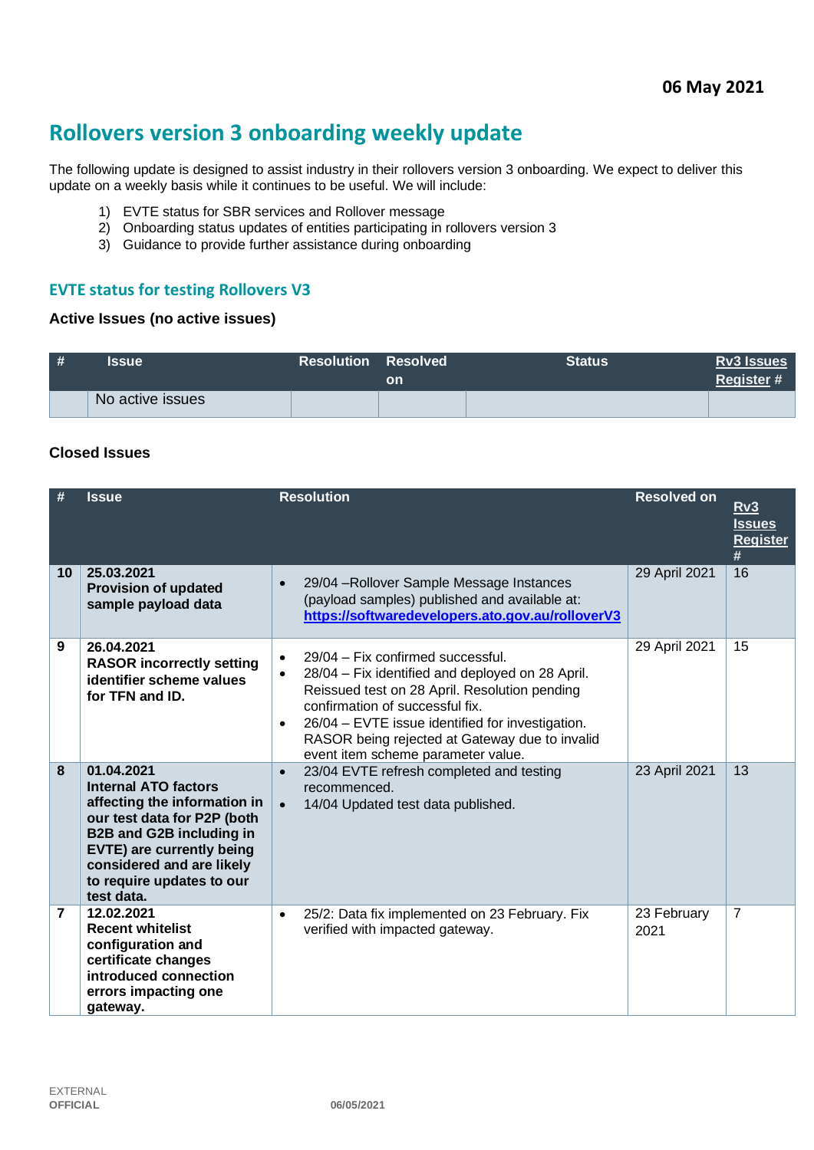# **Rollovers version 3 onboarding weekly update**

The following update is designed to assist industry in their rollovers version 3 onboarding. We expect to deliver this update on a weekly basis while it continues to be useful. We will include:

- 1) EVTE status for SBR services and Rollover message
- 2) Onboarding status updates of entities participating in rollovers version 3
- 3) Guidance to provide further assistance during onboarding

## **EVTE status for testing Rollovers V3**

#### **Active Issues (no active issues)**

| # | <b>Issue</b>     | <b>Resolution Resolved</b> | on | <b>Status</b> | <b>Rv3 Issues</b><br>Register# |
|---|------------------|----------------------------|----|---------------|--------------------------------|
|   | No active issues |                            |    |               |                                |

#### **Closed Issues**

| #  | <b>Issue</b>                                                                                                                                                                                                                                            | <b>Resolution</b>                                                                                                                                                                                                                                                                                                                                            | <b>Resolved on</b>  | Rv3<br><b>Issues</b><br><b>Register</b> |
|----|---------------------------------------------------------------------------------------------------------------------------------------------------------------------------------------------------------------------------------------------------------|--------------------------------------------------------------------------------------------------------------------------------------------------------------------------------------------------------------------------------------------------------------------------------------------------------------------------------------------------------------|---------------------|-----------------------------------------|
| 10 | 25.03.2021<br><b>Provision of updated</b><br>sample payload data                                                                                                                                                                                        | 29/04 - Rollover Sample Message Instances<br>$\bullet$<br>(payload samples) published and available at:<br>https://softwaredevelopers.ato.gov.au/rolloverV3                                                                                                                                                                                                  | 29 April 2021       | #<br>16                                 |
| 9  | 26.04.2021<br><b>RASOR incorrectly setting</b><br>identifier scheme values<br>for TFN and ID.                                                                                                                                                           | 29/04 - Fix confirmed successful.<br>$\bullet$<br>28/04 – Fix identified and deployed on 28 April.<br>$\bullet$<br>Reissued test on 28 April. Resolution pending<br>confirmation of successful fix.<br>26/04 - EVTE issue identified for investigation.<br>$\bullet$<br>RASOR being rejected at Gateway due to invalid<br>event item scheme parameter value. | 29 April 2021       | 15                                      |
| 8  | 01.04.2021<br><b>Internal ATO factors</b><br>affecting the information in<br>our test data for P2P (both<br><b>B2B and G2B including in</b><br><b>EVTE) are currently being</b><br>considered and are likely<br>to require updates to our<br>test data. | 23/04 EVTE refresh completed and testing<br>$\bullet$<br>recommenced.<br>14/04 Updated test data published.<br>$\bullet$                                                                                                                                                                                                                                     | 23 April 2021       | 13                                      |
| 7  | 12.02.2021<br><b>Recent whitelist</b><br>configuration and<br>certificate changes<br>introduced connection<br>errors impacting one<br>gateway.                                                                                                          | 25/2: Data fix implemented on 23 February. Fix<br>$\bullet$<br>verified with impacted gateway.                                                                                                                                                                                                                                                               | 23 February<br>2021 | 7                                       |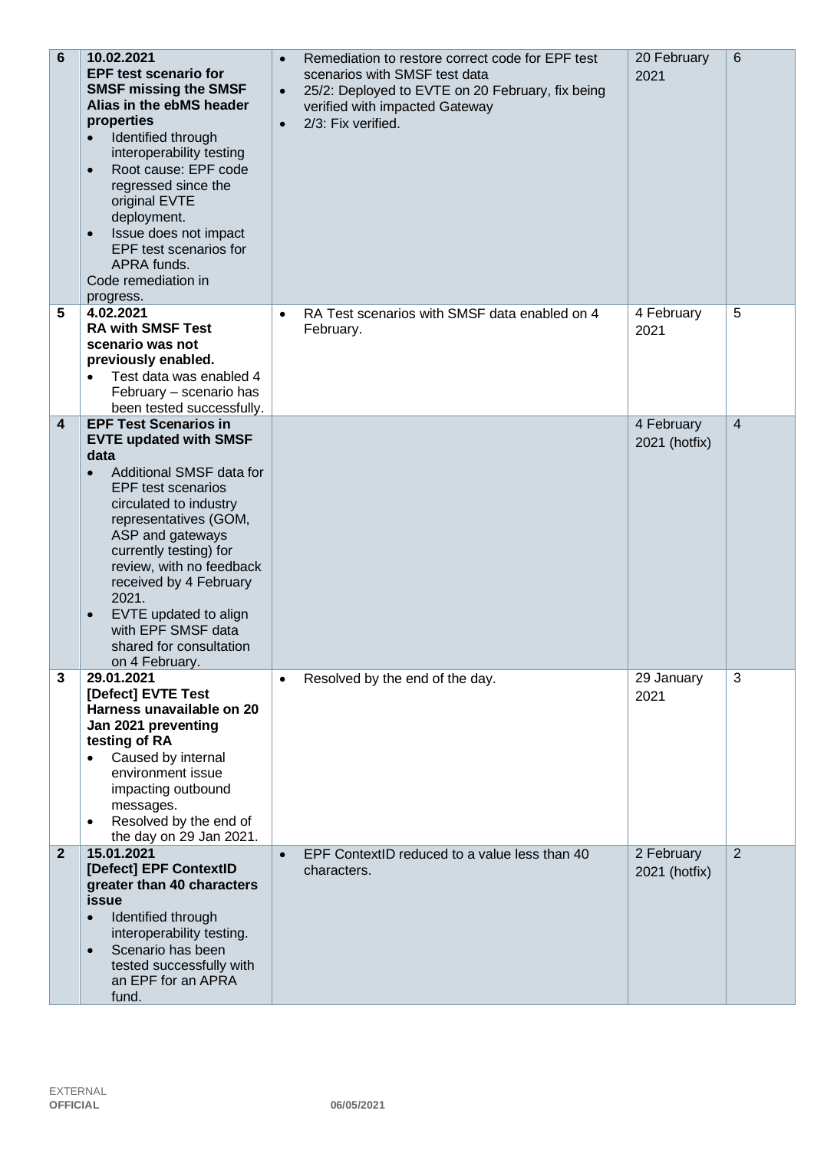| $6\phantom{1}$ | 10.02.2021<br><b>EPF test scenario for</b><br><b>SMSF missing the SMSF</b><br>Alias in the ebMS header<br>properties<br>Identified through<br>interoperability testing<br>Root cause: EPF code<br>$\bullet$<br>regressed since the<br>original EVTE<br>deployment.<br>Issue does not impact<br>$\bullet$<br>EPF test scenarios for<br>APRA funds.<br>Code remediation in<br>progress.                                | $\bullet$<br>$\bullet$<br>$\bullet$ | Remediation to restore correct code for EPF test<br>scenarios with SMSF test data<br>25/2: Deployed to EVTE on 20 February, fix being<br>verified with impacted Gateway<br>2/3: Fix verified. | 20 February<br>2021         | $6\phantom{1}$ |
|----------------|----------------------------------------------------------------------------------------------------------------------------------------------------------------------------------------------------------------------------------------------------------------------------------------------------------------------------------------------------------------------------------------------------------------------|-------------------------------------|-----------------------------------------------------------------------------------------------------------------------------------------------------------------------------------------------|-----------------------------|----------------|
| 5              | 4.02.2021<br><b>RA with SMSF Test</b><br>scenario was not<br>previously enabled.<br>Test data was enabled 4<br>February - scenario has<br>been tested successfully.                                                                                                                                                                                                                                                  | $\bullet$                           | RA Test scenarios with SMSF data enabled on 4<br>February.                                                                                                                                    | 4 February<br>2021          | 5              |
| 4              | <b>EPF Test Scenarios in</b><br><b>EVTE updated with SMSF</b><br>data<br>Additional SMSF data for<br>$\bullet$<br><b>EPF</b> test scenarios<br>circulated to industry<br>representatives (GOM,<br>ASP and gateways<br>currently testing) for<br>review, with no feedback<br>received by 4 February<br>2021.<br>EVTE updated to align<br>$\bullet$<br>with EPF SMSF data<br>shared for consultation<br>on 4 February. |                                     |                                                                                                                                                                                               | 4 February<br>2021 (hotfix) | $\overline{4}$ |
| 3              | 29.01.2021<br>[Defect] EVTE Test<br>Harness unavailable on 20<br>Jan 2021 preventing<br>testing of RA<br>Caused by internal<br>$\bullet$<br>environment issue<br>impacting outbound<br>messages.<br>Resolved by the end of<br>the day on 29 Jan 2021.                                                                                                                                                                | $\bullet$                           | Resolved by the end of the day.                                                                                                                                                               | 29 January<br>2021          | 3              |
| $\overline{2}$ | 15.01.2021<br>[Defect] EPF ContextID<br>greater than 40 characters<br>issue<br>Identified through<br>interoperability testing.<br>Scenario has been<br>$\bullet$<br>tested successfully with<br>an EPF for an APRA<br>fund.                                                                                                                                                                                          | $\bullet$                           | EPF ContextID reduced to a value less than 40<br>characters.                                                                                                                                  | 2 February<br>2021 (hotfix) | $\overline{2}$ |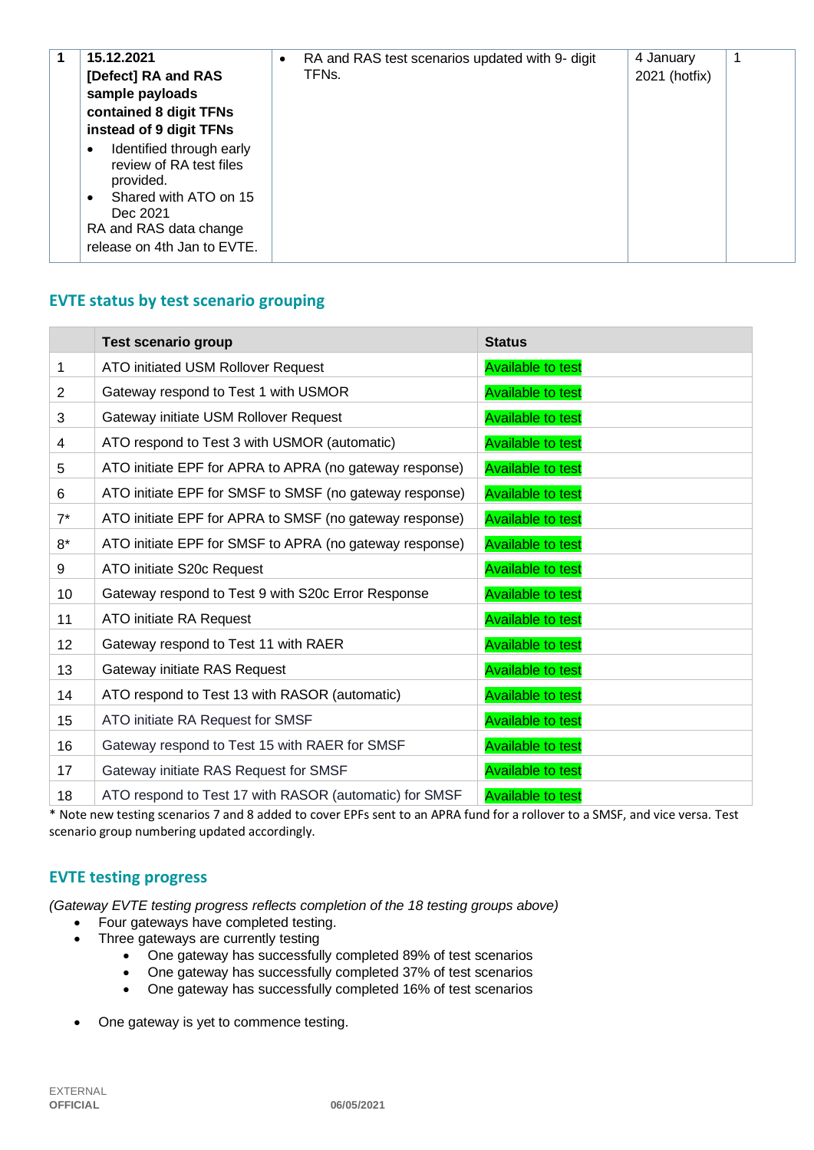| release on 4th Jan to EVTE. |  | 15.12.2021<br>[Defect] RA and RAS<br>sample payloads<br>contained 8 digit TFNs<br>instead of 9 digit TFNs<br>Identified through early<br>$\bullet$<br>review of RA test files<br>provided.<br>Shared with ATO on 15<br>$\bullet$<br>Dec 2021<br>RA and RAS data change | $\bullet$ | RA and RAS test scenarios updated with 9- digit<br>TFNs. | 4 January<br>2021 (hotfix) |  |
|-----------------------------|--|------------------------------------------------------------------------------------------------------------------------------------------------------------------------------------------------------------------------------------------------------------------------|-----------|----------------------------------------------------------|----------------------------|--|
|-----------------------------|--|------------------------------------------------------------------------------------------------------------------------------------------------------------------------------------------------------------------------------------------------------------------------|-----------|----------------------------------------------------------|----------------------------|--|

## **EVTE status by test scenario grouping**

|                 | <b>Test scenario group</b>                              | <b>Status</b>            |
|-----------------|---------------------------------------------------------|--------------------------|
| 1               | ATO initiated USM Rollover Request                      | <b>Available to test</b> |
| 2               | Gateway respond to Test 1 with USMOR                    | <b>Available to test</b> |
| 3               | Gateway initiate USM Rollover Request                   | <b>Available to test</b> |
| 4               | ATO respond to Test 3 with USMOR (automatic)            | <b>Available to test</b> |
| 5               | ATO initiate EPF for APRA to APRA (no gateway response) | <b>Available to test</b> |
| 6               | ATO initiate EPF for SMSF to SMSF (no gateway response) | <b>Available to test</b> |
| $7^*$           | ATO initiate EPF for APRA to SMSF (no gateway response) | <b>Available to test</b> |
| $8*$            | ATO initiate EPF for SMSF to APRA (no gateway response) | <b>Available to test</b> |
| 9               | ATO initiate S20c Request                               | <b>Available to test</b> |
| 10 <sup>1</sup> | Gateway respond to Test 9 with S20c Error Response      | <b>Available to test</b> |
| 11              | ATO initiate RA Request                                 | <b>Available to test</b> |
| 12              | Gateway respond to Test 11 with RAER                    | <b>Available to test</b> |
| 13              | Gateway initiate RAS Request                            | <b>Available to test</b> |
| 14              | ATO respond to Test 13 with RASOR (automatic)           | <b>Available to test</b> |
| 15              | ATO initiate RA Request for SMSF                        | <b>Available to test</b> |
| 16              | Gateway respond to Test 15 with RAER for SMSF           | <b>Available to test</b> |
| 17              | Gateway initiate RAS Request for SMSF                   | <b>Available to test</b> |
| 18              | ATO respond to Test 17 with RASOR (automatic) for SMSF  | <b>Available to test</b> |

\* Note new testing scenarios 7 and 8 added to cover EPFs sent to an APRA fund for a rollover to a SMSF, and vice versa. Test scenario group numbering updated accordingly.

## **EVTE testing progress**

*(Gateway EVTE testing progress reflects completion of the 18 testing groups above)*

- Four gateways have completed testing.
- Three gateways are currently testing
	- One gateway has successfully completed 89% of test scenarios
	- One gateway has successfully completed 37% of test scenarios
	- One gateway has successfully completed 16% of test scenarios
- One gateway is yet to commence testing.